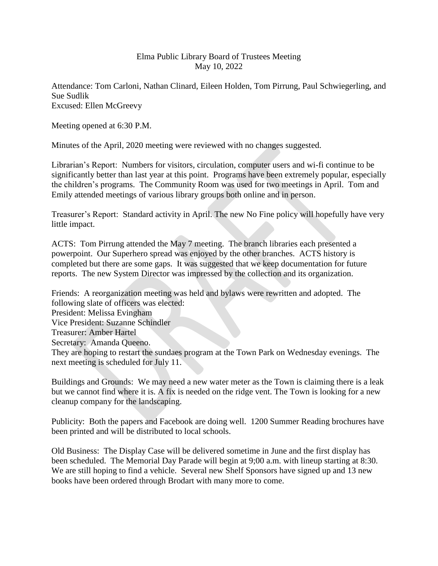## Elma Public Library Board of Trustees Meeting May 10, 2022

Attendance: Tom Carloni, Nathan Clinard, Eileen Holden, Tom Pirrung, Paul Schwiegerling, and Sue Sudlik Excused: Ellen McGreevy

Meeting opened at 6:30 P.M.

Minutes of the April, 2020 meeting were reviewed with no changes suggested.

Librarian's Report: Numbers for visitors, circulation, computer users and wi-fi continue to be significantly better than last year at this point. Programs have been extremely popular, especially the children's programs. The Community Room was used for two meetings in April. Tom and Emily attended meetings of various library groups both online and in person.

Treasurer's Report: Standard activity in April. The new No Fine policy will hopefully have very little impact.

ACTS: Tom Pirrung attended the May 7 meeting. The branch libraries each presented a powerpoint. Our Superhero spread was enjoyed by the other branches. ACTS history is completed but there are some gaps. It was suggested that we keep documentation for future reports. The new System Director was impressed by the collection and its organization.

Friends: A reorganization meeting was held and bylaws were rewritten and adopted. The following slate of officers was elected: President: Melissa Evingham Vice President: Suzanne Schindler Treasurer: Amber Hartel Secretary: Amanda Queeno. They are hoping to restart the sundaes program at the Town Park on Wednesday evenings. The next meeting is scheduled for July 11.

Buildings and Grounds: We may need a new water meter as the Town is claiming there is a leak but we cannot find where it is. A fix is needed on the ridge vent. The Town is looking for a new cleanup company for the landscaping.

Publicity: Both the papers and Facebook are doing well. 1200 Summer Reading brochures have been printed and will be distributed to local schools.

Old Business: The Display Case will be delivered sometime in June and the first display has been scheduled. The Memorial Day Parade will begin at 9;00 a.m. with lineup starting at 8:30. We are still hoping to find a vehicle. Several new Shelf Sponsors have signed up and 13 new books have been ordered through Brodart with many more to come.